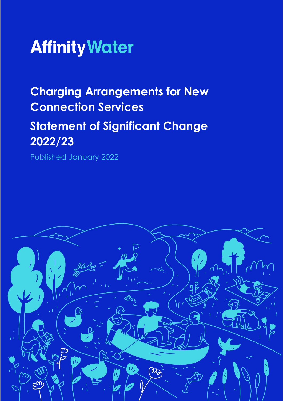

# **Charging Arrangements for New Connection Services Statement of Significant Change 2022/23**

Published January 2022

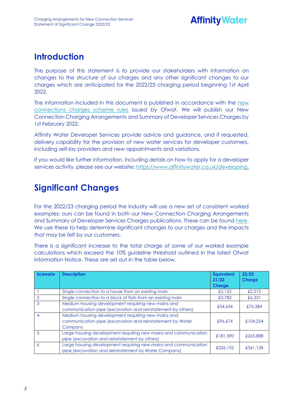## **Introduction**

The purpose of this statement is to provide our stakeholders with information on changes to the structure of our charges and any other significant changes to our charges which are anticipated for the 2022/23 charging period beginning 1st April 2022.

The information included in this document is published in accordance with the [new](https://www.ofwat.gov.uk/wp-content/uploads/2021/10/Charging_Rules_For_New_Connection_Services_Effective_April_2022.pdf)  [connections charges scheme rules](https://www.ofwat.gov.uk/wp-content/uploads/2021/10/Charging_Rules_For_New_Connection_Services_Effective_April_2022.pdf) issued by Ofwat. We will publish our New Connection Charging Arrangements and Summary of Developer Services Charges by 1st February 2022.

Affinity Water Developer Services provide advice and guidance, and if requested, delivery capability for the provision of new water services for developer customers, including self-lay providers and new appointments and variations.

If you would like further information, including details on how to apply for a developer services activity, please see our website[: https://www.affinitywater.co.uk/developing.](https://www.affinitywater.co.uk/developing)

### **Significant Changes**

For the 2022/23 charging period the industry will use a new set of consistent worked examples; ours can be found in both our New Connection Charging Arrangements and Summary of Developer Services Charges publications. These can be found [here.](https://www.affinitywater.co.uk/developing/our-charges) We use these to help determine significant changes to our charges and the impacts that may be felt by our customers.

There is a significant increase to the total charge of some of our worked example calculations which exceed the 10% guideline threshold outlined in the latest Ofwat Information Notice. These are set out in the table below.

| <b>Scenario</b> | <b>Description</b>                                                                                                         | <b>Equivalent</b><br>21/22<br><b>Charge</b> | 22/23<br><b>Charge</b> |
|-----------------|----------------------------------------------------------------------------------------------------------------------------|---------------------------------------------|------------------------|
|                 | Single connection to a house from an existing main                                                                         | £2.152                                      | £2.212                 |
|                 | Single connection to a block of flats from an existing main                                                                | £3,782                                      | £6,331                 |
| 3               | Medium housing development requiring new mains and<br>communication pipe (excavation and reinstatement by others)          | £54,654                                     | £76,384                |
| $\overline{4}$  | Medium housing development requiring new mains and<br>communication pipe (excavation and reinstatement by Water<br>Company | £96.674                                     | £104,254               |
| .5              | Large housing development requiring new mains and communication<br>pipe (excavation and reinstatement by others)           | £181,590                                    | £265,888               |
| 6               | Large housing development requiring new mains and communication<br>pipe (excavation and reinstatement by Water Company)    | £326.152                                    | £361,128               |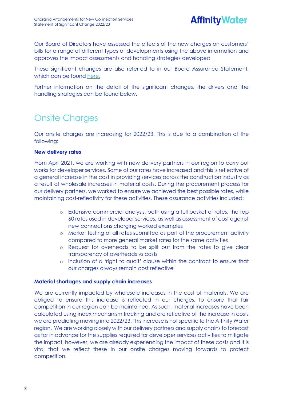

Our Board of Directors have assessed the effects of the new charges on customers' bills for a range of different types of developments using the above information and approves the impact assessments and handling strategies developed

These significant changes are also referred to in our Board Assurance Statement, which can be found [here.](https://www.affinitywater.co.uk/developing/our-charges)

Further information on the detail of the significant changes, the drivers and the handling strategies can be found below.

# Onsite Charges

Our onsite charges are increasing for 2022/23. This is due to a combination of the following:

#### **New delivery rates**

From April 2021, we are working with new delivery partners in our region to carry out works for developer services. Some of our rates have increased and this is reflective of a general increase in the cost in providing services across the construction industry as a result of wholesale increases in material costs. During the procurement process for our delivery partners, we worked to ensure we achieved the best possible rates, while maintaining cost-reflectivity for these activities. These assurance activities included:

- o Extensive commercial analysis, both using a full basket of rates, the top 60 rates used in developer services, as well as assessment of cost against new connections charging worked examples
- o Market testing of all rates submitted as part of the procurement activity compared to more general market rates for the same activities
- o Request for overheads to be split out from the rates to give clear transparency of overheads vs costs
- o Inclusion of a 'right to audit' clause within the contract to ensure that our charges always remain cost reflective

#### **Material shortages and supply chain increases**

We are currently impacted by wholesale increases in the cost of materials. We are obliged to ensure this increase is reflected in our charges, to ensure that fair competition in our region can be maintained. As such, material increases have been calculated using index mechanism tracking and are reflective of the increase in costs we are predicting moving into 2022/23. This increase is not specific to the Affinity Water region. We are working closely with our delivery partners and supply chains to forecast as far in advance for the supplies required for developer services activities to mitigate the impact, however, we are already experiencing the impact of these costs and it is vital that we reflect these in our onsite charges moving forwards to protect competition.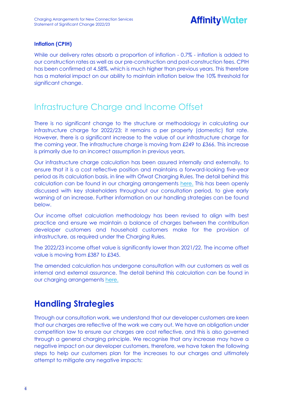# **Affinity Water**

#### **Inflation (CPIH)**

While our delivery rates absorb a proportion of inflation - 0.7% - inflation is added to our construction rates as well as our pre-construction and post-construction fees. CPIH has been confirmed at 4.58%, which is much higher than previous years. This therefore has a material impact on our ability to maintain inflation below the 10% threshold for significant change.

### Infrastructure Charge and Income Offset

There is no significant change to the structure or methodology in calculating our infrastructure charge for 2022/23; it remains a per property (domestic) flat rate. However, there is a significant increase to the value of our infrastructure charge for the coming year. The infrastructure charge is moving from £249 to £366. This increase is primarily due to an incorrect assumption in previous years.

Our infrastructure charge calculation has been assured internally and externally, to ensure that it is a cost reflective position and maintains a forward-looking five-year period as its calculation basis, in line with Ofwat Charging Rules. The detail behind this calculation can be found in our charging arrangements [here.](https://www.affinitywater.co.uk/developing/our-charges) This has been openly discussed with key stakeholders throughout our consultation period, to give early warning of an increase. Further information on our handling strategies can be found below.

Our income offset calculation methodology has been revised to align with best practice and ensure we maintain a balance of charges between the contribution developer customers and household customers make for the provision of infrastructure, as required under the Charging Rules.

The 2022/23 income offset value is significantly lower than 2021/22. The income offset value is moving from £387 to £345.

The amended calculation has undergone consultation with our customers as well as internal and external assurance. The detail behind this calculation can be found in our charging arrangements [here.](https://www.affinitywater.co.uk/developing/our-charges)

### **Handling Strategies**

Through our consultation work, we understand that our developer customers are keen that our charges are reflective of the work we carry out. We have an obligation under competition law to ensure our charges are cost reflective, and this is also governed through a general charging principle. We recognise that any increase may have a negative impact on our developer customers, therefore, we have taken the following steps to help our customers plan for the increases to our charges and ultimately attempt to mitigate any negative impacts: